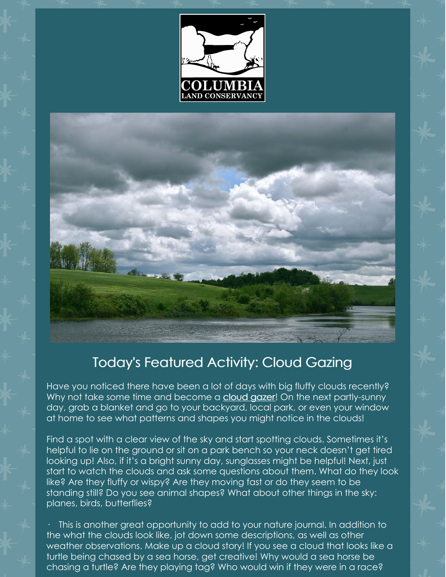



## Today's Featured Activity: Cloud Gazing

Have you noticed there have been a lot of days with big fluffy clouds recently? Why not take some time and become a [cloud](https://www.atlasobscura.com/articles/how-to-look-at-clouds) gazer! On the next partly-sunny day, grab a blanket and go to your backyard, local park, or even your window at home to see what patterns and shapes you might notice in the clouds!

Find a spot with a clear view of the sky and start spotting clouds. Sometimes it's helpful to lie on the ground or sit on a park bench so your neck doesn't get tired looking up! Also, if it's a bright sunny day, sunglasses might be helpful! Next, just start to watch the clouds and ask some questions about them. What do they look like? Are they fluffy or wispy? Are they moving fast or do they seem to be standing still? Do you see animal shapes? What about other things in the sky: planes, birds, butterflies?

· This is another great opportunity to add to your nature journal. In addition to the what the clouds look like, jot down some descriptions, as well as other weather observations. Make up a cloud story! If you see a cloud that looks like a turtle being chased by a sea horse, get creative! Why would a sea horse be chasing a turtle? Are they playing tag? Who would win if they were in a race?